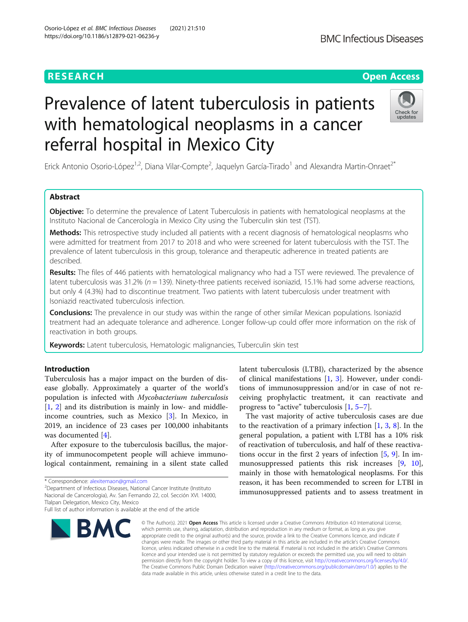# Prevalence of latent tuberculosis in patients with hematological neoplasms in a cancer referral hospital in Mexico City

Erick Antonio Osorio-López<sup>1,2</sup>, Diana Vilar-Compte<sup>2</sup>, Jaquelyn García-Tirado<sup>1</sup> and Alexandra Martin-Onraet<sup>2\*</sup>

# Abstract

**Objective:** To determine the prevalence of Latent Tuberculosis in patients with hematological neoplasms at the Instituto Nacional de Cancerología in Mexico City using the Tuberculin skin test (TST).

**Methods:** This retrospective study included all patients with a recent diagnosis of hematological neoplasms who were admitted for treatment from 2017 to 2018 and who were screened for latent tuberculosis with the TST. The prevalence of latent tuberculosis in this group, tolerance and therapeutic adherence in treated patients are described.

Results: The files of 446 patients with hematological malignancy who had a TST were reviewed. The prevalence of latent tuberculosis was 31.2% ( $n = 139$ ). Ninety-three patients received isoniazid, 15.1% had some adverse reactions, but only 4 (4.3%) had to discontinue treatment. Two patients with latent tuberculosis under treatment with Isoniazid reactivated tuberculosis infection.

**Conclusions:** The prevalence in our study was within the range of other similar Mexican populations. Isoniazid treatment had an adequate tolerance and adherence. Longer follow-up could offer more information on the risk of reactivation in both groups.

Keywords: Latent tuberculosis, Hematologic malignancies, Tuberculin skin test

# Introduction

Tuberculosis has a major impact on the burden of disease globally. Approximately a quarter of the world's population is infected with Mycobacterium tuberculosis [[1,](#page-6-0) [2\]](#page-6-0) and its distribution is mainly in low- and middleincome countries, such as Mexico [[3\]](#page-6-0). In Mexico, in 2019, an incidence of 23 cases per 100,000 inhabitants was documented [[4\]](#page-6-0).

After exposure to the tuberculosis bacillus, the majority of immunocompetent people will achieve immunological containment, remaining in a silent state called

Department of Infectious Diseases, National Cancer Institute (Instituto

Nacional de Cancerologia), Av. San Fernando 22, col. Sección XVI. 14000, Tlalpan Delegation, Mexico City, Mexico

### © The Author(s), 2021 **Open Access** This article is licensed under a Creative Commons Attribution 4.0 International License, which permits use, sharing, adaptation, distribution and reproduction in any medium or format, as long as you give appropriate credit to the original author(s) and the source, provide a link to the Creative Commons licence, and indicate if changes were made. The images or other third party material in this article are included in the article's Creative Commons licence, unless indicated otherwise in a credit line to the material. If material is not included in the article's Creative Commons licence and your intended use is not permitted by statutory regulation or exceeds the permitted use, you will need to obtain permission directly from the copyright holder. To view a copy of this licence, visit [http://creativecommons.org/licenses/by/4.0/.](http://creativecommons.org/licenses/by/4.0/) The Creative Commons Public Domain Dedication waiver [\(http://creativecommons.org/publicdomain/zero/1.0/](http://creativecommons.org/publicdomain/zero/1.0/)) applies to the data made available in this article, unless otherwise stated in a credit line to the data.

latent tuberculosis (LTBI), characterized by the absence of clinical manifestations [\[1](#page-6-0), [3](#page-6-0)]. However, under conditions of immunosuppression and/or in case of not receiving prophylactic treatment, it can reactivate and progress to "active" tuberculosis [\[1,](#page-6-0) [5](#page-6-0)–[7\]](#page-6-0).

The vast majority of active tuberculosis cases are due to the reactivation of a primary infection  $[1, 3, 8]$  $[1, 3, 8]$  $[1, 3, 8]$  $[1, 3, 8]$  $[1, 3, 8]$  $[1, 3, 8]$  $[1, 3, 8]$ . In the general population, a patient with LTBI has a 10% risk of reactivation of tuberculosis, and half of these reactivations occur in the first 2 years of infection  $[5, 9]$  $[5, 9]$  $[5, 9]$  $[5, 9]$  $[5, 9]$ . In immunosuppressed patients this risk increases [[9](#page-6-0), [10](#page-6-0)], mainly in those with hematological neoplasms. For this reason, it has been recommended to screen for LTBI in immunosuppressed patients and to assess treatment in







<sup>\*</sup> Correspondence: [alexitemaon@gmail.com](mailto:alexitemaon@gmail.com) <sup>2</sup>

Full list of author information is available at the end of the article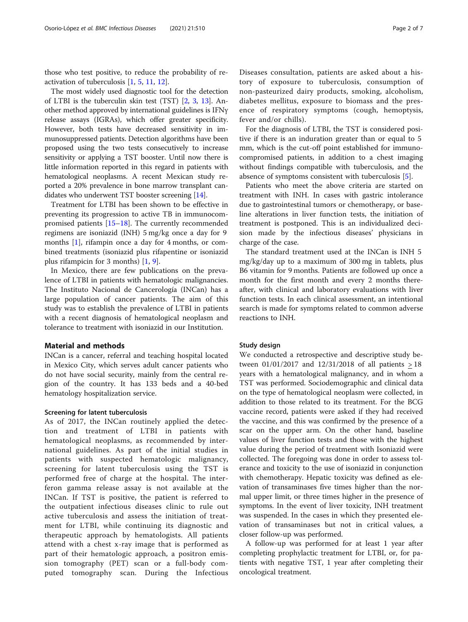those who test positive, to reduce the probability of reactivation of tuberculosis [[1](#page-6-0), [5](#page-6-0), [11](#page-6-0), [12](#page-6-0)].

The most widely used diagnostic tool for the detection of LTBI is the tuberculin skin test (TST) [\[2](#page-6-0), [3](#page-6-0), [13\]](#page-6-0). Another method approved by international guidelines is IFNγ release assays (IGRAs), which offer greater specificity. However, both tests have decreased sensitivity in immunosuppressed patients. Detection algorithms have been proposed using the two tests consecutively to increase sensitivity or applying a TST booster. Until now there is little information reported in this regard in patients with hematological neoplasms. A recent Mexican study reported a 20% prevalence in bone marrow transplant candidates who underwent TST booster screening [\[14\]](#page-6-0).

Treatment for LTBI has been shown to be effective in preventing its progression to active TB in immunocompromised patients [\[15](#page-6-0)–[18\]](#page-6-0). The currently recommended regimens are isoniazid (INH) 5 mg/kg once a day for 9 months [[1\]](#page-6-0), rifampin once a day for 4 months, or combined treatments (isoniazid plus rifapentine or isoniazid plus rifampicin for 3 months) [[1,](#page-6-0) [9\]](#page-6-0).

In Mexico, there are few publications on the prevalence of LTBI in patients with hematologic malignancies. The Instituto Nacional de Cancerología (INCan) has a large population of cancer patients. The aim of this study was to establish the prevalence of LTBI in patients with a recent diagnosis of hematological neoplasm and tolerance to treatment with isoniazid in our Institution.

## Material and methods

INCan is a cancer, referral and teaching hospital located in Mexico City, which serves adult cancer patients who do not have social security, mainly from the central region of the country. It has 133 beds and a 40-bed hematology hospitalization service.

# Screening for latent tuberculosis

As of 2017, the INCan routinely applied the detection and treatment of LTBI in patients with hematological neoplasms, as recommended by international guidelines. As part of the initial studies in patients with suspected hematologic malignancy, screening for latent tuberculosis using the TST is performed free of charge at the hospital. The interferon gamma release assay is not available at the INCan. If TST is positive, the patient is referred to the outpatient infectious diseases clinic to rule out active tuberculosis and assess the initiation of treatment for LTBI, while continuing its diagnostic and therapeutic approach by hematologists. All patients attend with a chest x-ray image that is performed as part of their hematologic approach, a positron emission tomography (PET) scan or a full-body computed tomography scan. During the Infectious

Diseases consultation, patients are asked about a history of exposure to tuberculosis, consumption of non-pasteurized dairy products, smoking, alcoholism, diabetes mellitus, exposure to biomass and the presence of respiratory symptoms (cough, hemoptysis, fever and/or chills).

For the diagnosis of LTBI, the TST is considered positive if there is an induration greater than or equal to 5 mm, which is the cut-off point established for immunocompromised patients, in addition to a chest imaging without findings compatible with tuberculosis, and the absence of symptoms consistent with tuberculosis [[5](#page-6-0)].

Patients who meet the above criteria are started on treatment with INH. In cases with gastric intolerance due to gastrointestinal tumors or chemotherapy, or baseline alterations in liver function tests, the initiation of treatment is postponed. This is an individualized decision made by the infectious diseases' physicians in charge of the case.

The standard treatment used at the INCan is INH 5 mg/kg/day up to a maximum of 300 mg in tablets, plus B6 vitamin for 9 months. Patients are followed up once a month for the first month and every 2 months thereafter, with clinical and laboratory evaluations with liver function tests. In each clinical assessment, an intentional search is made for symptoms related to common adverse reactions to INH.

#### Study design

We conducted a retrospective and descriptive study between 01/01/2017 and 12/31/2018 of all patients > 18 years with a hematological malignancy, and in whom a TST was performed. Sociodemographic and clinical data on the type of hematological neoplasm were collected, in addition to those related to its treatment. For the BCG vaccine record, patients were asked if they had received the vaccine, and this was confirmed by the presence of a scar on the upper arm. On the other hand, baseline values of liver function tests and those with the highest value during the period of treatment with Isoniazid were collected. The foregoing was done in order to assess tolerance and toxicity to the use of isoniazid in conjunction with chemotherapy. Hepatic toxicity was defined as elevation of transaminases five times higher than the normal upper limit, or three times higher in the presence of symptoms. In the event of liver toxicity, INH treatment was suspended. In the cases in which they presented elevation of transaminases but not in critical values, a closer follow-up was performed.

A follow-up was performed for at least 1 year after completing prophylactic treatment for LTBI, or, for patients with negative TST, 1 year after completing their oncological treatment.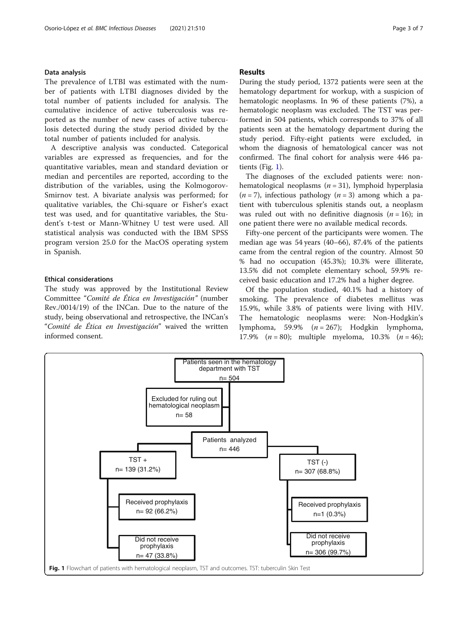# Data analysis

The prevalence of LTBI was estimated with the number of patients with LTBI diagnoses divided by the total number of patients included for analysis. The cumulative incidence of active tuberculosis was reported as the number of new cases of active tuberculosis detected during the study period divided by the total number of patients included for analysis.

A descriptive analysis was conducted. Categorical variables are expressed as frequencies, and for the quantitative variables, mean and standard deviation or median and percentiles are reported, according to the distribution of the variables, using the Kolmogorov-Smirnov test. A bivariate analysis was performed; for qualitative variables, the Chi-square or Fisher's exact test was used, and for quantitative variables, the Student's t-test or Mann-Whitney U test were used. All statistical analysis was conducted with the IBM SPSS program version 25.0 for the MacOS operating system in Spanish.

# Ethical considerations

The study was approved by the Institutional Review Committee "Comité de Ética en Investigación" (number Rev./0014/19) of the INCan. Due to the nature of the study, being observational and retrospective, the INCan's "Comité de Ética en Investigación" waived the written informed consent.

# Results

During the study period, 1372 patients were seen at the hematology department for workup, with a suspicion of hematologic neoplasms. In 96 of these patients (7%), a hematologic neoplasm was excluded. The TST was performed in 504 patients, which corresponds to 37% of all patients seen at the hematology department during the study period. Fifty-eight patients were excluded, in whom the diagnosis of hematological cancer was not confirmed. The final cohort for analysis were 446 patients (Fig. 1).

The diagnoses of the excluded patients were: nonhematological neoplasms  $(n = 31)$ , lymphoid hyperplasia  $(n = 7)$ , infectious pathology  $(n = 3)$  among which a patient with tuberculous splenitis stands out, a neoplasm was ruled out with no definitive diagnosis  $(n = 16)$ ; in one patient there were no available medical records.

Fifty-one percent of the participants were women. The median age was 54 years (40–66), 87.4% of the patients came from the central region of the country. Almost 50 % had no occupation (45.3%); 10.3% were illiterate, 13.5% did not complete elementary school, 59.9% received basic education and 17.2% had a higher degree.

Of the population studied, 40.1% had a history of smoking. The prevalence of diabetes mellitus was 15.9%, while 3.8% of patients were living with HIV. The hematologic neoplasms were: Non-Hodgkin's lymphoma, 59.9%  $(n = 267)$ ; Hodgkin lymphoma, 17.9%  $(n = 80)$ ; multiple myeloma, 10.3%  $(n = 46)$ ;

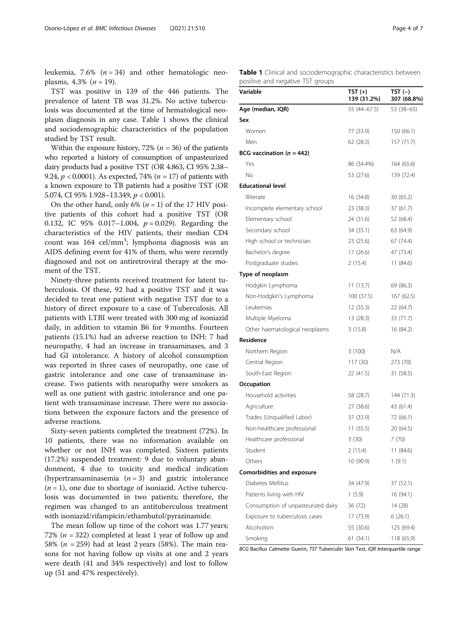leukemia, 7.6%  $(n = 34)$  and other hematologic neoplasms, 4.3%  $(n = 19)$ .

TST was positive in 139 of the 446 patients. The prevalence of latent TB was 31.2%. No active tuberculosis was documented at the time of hematological neoplasm diagnosis in any case. Table 1 shows the clinical and sociodemographic characteristics of the population studied by TST result.

Within the exposure history, 72% ( $n = 36$ ) of the patients who reported a history of consumption of unpasteurized dairy products had a positive TST (OR 4.863, CI 95% 2.38– 9.24,  $p < 0.0001$ ). As expected, 74% ( $n = 17$ ) of patients with a known exposure to TB patients had a positive TST (OR 5.074, CI 95% 1.928–13.349, p < 0.001).

On the other hand, only 6%  $(n = 1)$  of the 17 HIV positive patients of this cohort had a positive TST (OR 0.132, IC 95% 0.017-1.004,  $p = 0.029$ ). Regarding the characteristics of the HIV patients, their median CD4 count was 164 cel/mm<sup>3</sup>; lymphoma diagnosis was an AIDS defining event for 41% of them, who were recently diagnosed and not on antiretroviral therapy at the moment of the TST.

Ninety-three patients received treatment for latent tuberculosis. Of these, 92 had a positive TST and it was decided to treat one patient with negative TST due to a history of direct exposure to a case of Tuberculosis. All patients with LTBI were treated with 300 mg of isoniazid daily, in addition to vitamin B6 for 9 months. Fourteen patients (15.1%) had an adverse reaction to INH: 7 had neuropathy, 4 had an increase in transaminases, and 3 had GI intolerance. A history of alcohol consumption was reported in three cases of neuropathy, one case of gastric intolerance and one case of transaminase increase. Two patients with neuropathy were smokers as well as one patient with gastric intolerance and one patient with transaminase increase. There were no associations between the exposure factors and the presence of adverse reactions.

Sixty-seven patients completed the treatment (72%). In 10 patients, there was no information available on whether or not INH was completed. Sixteen patients (17.2%) suspended treatment: 9 due to voluntary abandonment, 4 due to toxicity and medical indication (hypertransaminasemia  $(n = 3)$  and gastric intolerance  $(n = 1)$ , one due to shortage of isoniazid. Active tuberculosis was documented in two patients; therefore, the regimen was changed to an antituberculous treatment with isoniazid/rifampicin/ethambutol/pyrazinamide.

The mean follow up time of the cohort was 1.77 years; 72% ( $n = 322$ ) completed at least 1 year of follow up and 58% ( $n = 259$ ) had at least 2 years (58%). The main reasons for not having follow up visits at one and 2 years were death (41 and 34% respectively) and lost to follow up (51 and 47% respectively).

Table 1 Clinical and sociodemographic characteristics between positive and negative TST groups

| Variable                           | TST (+)<br>139 (31.2%) | $TST(-)$<br>307 (68.8%) |
|------------------------------------|------------------------|-------------------------|
| Age (median, IQR)                  | 55 (44–67.5)           | 53 (38–65)              |
| Sex                                |                        |                         |
| Women                              | 77 (33.9)              | 150 (66.1)              |
| Men                                | 62 (28.3)              | 157(71.7)               |
| BCG vaccination ( $n = 442$ )      |                        |                         |
| Yes                                | 86 (34.4%)             | 164 (65.6)              |
| No                                 | 53 (27.6)              | 139 (72.4)              |
| <b>Educational level</b>           |                        |                         |
| Illiterate                         | 16 (34.8)              | 30 (65.2)               |
| Incomplete elementary school       | 23 (38.3)              | 37 (61.7)               |
| Elementary school                  | 24 (31.6)              | 52 (68.4)               |
| Secondary school                   | 34 (35.1)              | 63 (64.9)               |
| High school or technician          | 23 (25.6)              | 67 (74.4)               |
| Bachelor's degree                  | 17 (26.6)              | 47 (73.4)               |
| Postgraduate studies               | 2(15.4)                | 11 (84.6)               |
| Type of neoplasm                   |                        |                         |
| Hodgkin Lymphoma                   | 11 (13.7)              | 69 (86.3)               |
| Non-Hodgkin's Lymphoma             | 100 (37.5)             | 167 (62.5)              |
| Leukemias                          | 12 (35.3)              | 22 (64.7)               |
| Multiple Myeloma                   | 13 (28.3)              | 33 (71.7)               |
| Other haematological neoplasms     | 3(15.8)                | 16 (84.2)               |
| Residence                          |                        |                         |
| Northern Region                    | 3 (100)                | N/A                     |
| Central Region                     | 117 (30)               | 273 (70)                |
| South-East Region                  | 22 (41.5)              | 31 (58.5)               |
| Occupation                         |                        |                         |
| Household activities               | 58 (28.7)              | 144 (71.3)              |
| Agriculture                        | 27 (38.6)              | 43 (61.4)               |
| Trades (Unqualified Labor)         | 37 (33.9)              | 72 (66.1)               |
| Non-healthcare professional        | 11(35.5)               | 20 (64.5)               |
| Healthcare professional            | 3(30)                  | 7(70)                   |
| Student                            | 2 (15.4)               | 11 (84.6)               |
| Others                             | 10 (90.9)              | 1(9.1)                  |
| <b>Comorbidities and exposure</b>  |                        |                         |
| Diabetes Mellitus                  | 34 (47.9)              | 37 (52.1)               |
| Patients living with HIV           | 1(5.9)                 | 16 (94.1)               |
| Consumption of unpasteurized dairy | 36 (72)                | 14 (28)                 |
| Exposure to tuberculosis cases     | 17 (73.9)              | 6 (26.1)                |
| Alcoholism                         | 55 (30.6)              | 125 (69.4)              |
| Smoking                            | 61 (34.1)              | 118 (65.9)              |

BCG Bacillus Calmette Guerin, TST Tuberculin Skin Test, IQR Interquartile range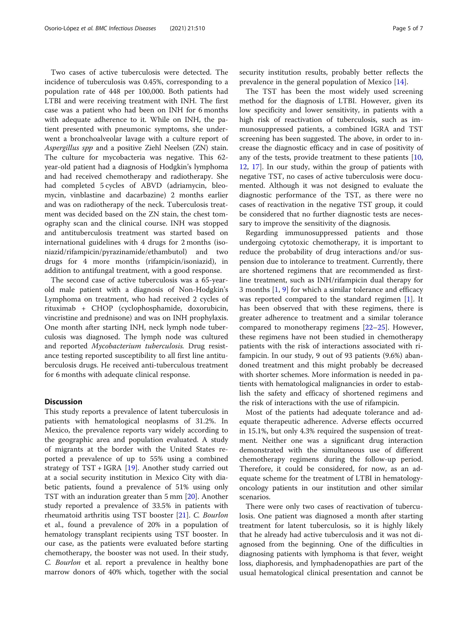Two cases of active tuberculosis were detected. The incidence of tuberculosis was 0.45%, corresponding to a population rate of 448 per 100,000. Both patients had LTBI and were receiving treatment with INH. The first case was a patient who had been on INH for 6 months with adequate adherence to it. While on INH, the patient presented with pneumonic symptoms, she underwent a bronchoalveolar lavage with a culture report of Aspergillus spp and a positive Ziehl Neelsen (ZN) stain. The culture for mycobacteria was negative. This 62 year-old patient had a diagnosis of Hodgkin's lymphoma and had received chemotherapy and radiotherapy. She had completed 5 cycles of ABVD (adriamycin, bleomycin, vinblastine and dacarbazine) 2 months earlier and was on radiotherapy of the neck. Tuberculosis treatment was decided based on the ZN stain, the chest tomography scan and the clinical course. INH was stopped and antituberculosis treatment was started based on international guidelines with 4 drugs for 2 months (isoniazid/rifampicin/pyrazinamide/ethambutol) and two drugs for 4 more months (rifampicin/isoniazid), in addition to antifungal treatment, with a good response.

The second case of active tuberculosis was a 65-yearold male patient with a diagnosis of Non-Hodgkin's Lymphoma on treatment, who had received 2 cycles of rituximab + CHOP (cyclophosphamide, doxorubicin, vincristine and prednisone) and was on INH prophylaxis. One month after starting INH, neck lymph node tuberculosis was diagnosed. The lymph node was cultured and reported Mycobacterium tuberculosis. Drug resistance testing reported susceptibility to all first line antituberculosis drugs. He received anti-tuberculous treatment for 6 months with adequate clinical response.

# **Discussion**

This study reports a prevalence of latent tuberculosis in patients with hematological neoplasms of 31.2%. In Mexico, the prevalence reports vary widely according to the geographic area and population evaluated. A study of migrants at the border with the United States reported a prevalence of up to 55% using a combined strategy of  $TST + IGRA$  [\[19](#page-6-0)]. Another study carried out at a social security institution in Mexico City with diabetic patients, found a prevalence of 51% using only TST with an induration greater than 5 mm [[20](#page-6-0)]. Another study reported a prevalence of 33.5% in patients with rheumatoid arthritis using TST booster [\[21](#page-6-0)]. C. Bourlon et al., found a prevalence of 20% in a population of hematology transplant recipients using TST booster. In our case, as the patients were evaluated before starting chemotherapy, the booster was not used. In their study, C. Bourlon et al. report a prevalence in healthy bone marrow donors of 40% which, together with the social security institution results, probably better reflects the prevalence in the general population of Mexico [[14](#page-6-0)].

The TST has been the most widely used screening method for the diagnosis of LTBI. However, given its low specificity and lower sensitivity, in patients with a high risk of reactivation of tuberculosis, such as immunosuppressed patients, a combined IGRA and TST screening has been suggested. The above, in order to increase the diagnostic efficacy and in case of positivity of any of the tests, provide treatment to these patients [[10](#page-6-0), [12,](#page-6-0) [17](#page-6-0)]. In our study, within the group of patients with negative TST, no cases of active tuberculosis were documented. Although it was not designed to evaluate the diagnostic performance of the TST, as there were no cases of reactivation in the negative TST group, it could be considered that no further diagnostic tests are necessary to improve the sensitivity of the diagnosis.

Regarding immunosuppressed patients and those undergoing cytotoxic chemotherapy, it is important to reduce the probability of drug interactions and/or suspension due to intolerance to treatment. Currently, there are shortened regimens that are recommended as firstline treatment, such as INH/rifampicin dual therapy for 3 months [[1](#page-6-0), [9](#page-6-0)] for which a similar tolerance and efficacy was reported compared to the standard regimen [[1\]](#page-6-0). It has been observed that with these regimens, there is greater adherence to treatment and a similar tolerance compared to monotherapy regimens [[22](#page-6-0)–[25](#page-6-0)]. However, these regimens have not been studied in chemotherapy patients with the risk of interactions associated with rifampicin. In our study, 9 out of 93 patients (9.6%) abandoned treatment and this might probably be decreased with shorter schemes. More information is needed in patients with hematological malignancies in order to establish the safety and efficacy of shortened regimens and the risk of interactions with the use of rifampicin.

Most of the patients had adequate tolerance and adequate therapeutic adherence. Adverse effects occurred in 15.1%, but only 4.3% required the suspension of treatment. Neither one was a significant drug interaction demonstrated with the simultaneous use of different chemotherapy regimens during the follow-up period. Therefore, it could be considered, for now, as an adequate scheme for the treatment of LTBI in hematologyoncology patients in our institution and other similar scenarios.

There were only two cases of reactivation of tuberculosis. One patient was diagnosed a month after starting treatment for latent tuberculosis, so it is highly likely that he already had active tuberculosis and it was not diagnosed from the beginning. One of the difficulties in diagnosing patients with lymphoma is that fever, weight loss, diaphoresis, and lymphadenopathies are part of the usual hematological clinical presentation and cannot be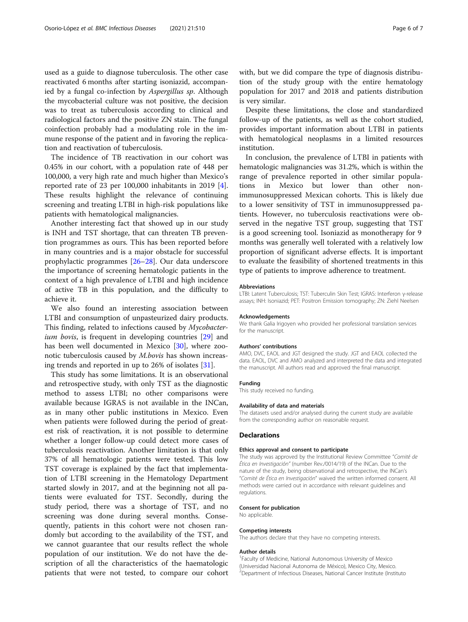used as a guide to diagnose tuberculosis. The other case reactivated 6 months after starting isoniazid, accompanied by a fungal co-infection by Aspergillus sp. Although the mycobacterial culture was not positive, the decision was to treat as tuberculosis according to clinical and radiological factors and the positive ZN stain. The fungal coinfection probably had a modulating role in the immune response of the patient and in favoring the replication and reactivation of tuberculosis.

The incidence of TB reactivation in our cohort was 0.45% in our cohort, with a population rate of 448 per 100,000, a very high rate and much higher than Mexico's reported rate of 23 per 100,000 inhabitants in 2019 [\[4](#page-6-0)]. These results highlight the relevance of continuing screening and treating LTBI in high-risk populations like patients with hematological malignancies.

Another interesting fact that showed up in our study is INH and TST shortage, that can threaten TB prevention programmes as ours. This has been reported before in many countries and is a major obstacle for successful prophylactic programmes [\[26](#page-6-0)–[28\]](#page-6-0). Our data underscore the importance of screening hematologic patients in the context of a high prevalence of LTBI and high incidence of active TB in this population, and the difficulty to achieve it.

We also found an interesting association between LTBI and consumption of unpasteurized dairy products. This finding, related to infections caused by Mycobacter-ium bovis, is frequent in developing countries [\[29](#page-6-0)] and has been well documented in Mexico [\[30\]](#page-6-0), where zoonotic tuberculosis caused by M.bovis has shown increasing trends and reported in up to 26% of isolates [[31](#page-6-0)].

This study has some limitations. It is an observational and retrospective study, with only TST as the diagnostic method to assess LTBI; no other comparisons were available because IGRAS is not available in the INCan, as in many other public institutions in Mexico. Even when patients were followed during the period of greatest risk of reactivation, it is not possible to determine whether a longer follow-up could detect more cases of tuberculosis reactivation. Another limitation is that only 37% of all hematologic patients were tested. This low TST coverage is explained by the fact that implementation of LTBI screening in the Hematology Department started slowly in 2017, and at the beginning not all patients were evaluated for TST. Secondly, during the study period, there was a shortage of TST, and no screening was done during several months. Consequently, patients in this cohort were not chosen randomly but according to the availability of the TST, and we cannot guarantee that our results reflect the whole population of our institution. We do not have the description of all the characteristics of the haematologic patients that were not tested, to compare our cohort

with, but we did compare the type of diagnosis distribution of the study group with the entire hematology population for 2017 and 2018 and patients distribution is very similar.

Despite these limitations, the close and standardized follow-up of the patients, as well as the cohort studied, provides important information about LTBI in patients with hematological neoplasms in a limited resources institution.

In conclusion, the prevalence of LTBI in patients with hematologic malignancies was 31.2%, which is within the range of prevalence reported in other similar populations in Mexico but lower than other nonimmunosuppressed Mexican cohorts. This is likely due to a lower sensitivity of TST in immunosuppressed patients. However, no tuberculosis reactivations were observed in the negative TST group, suggesting that TST is a good screening tool. Isoniazid as monotherapy for 9 months was generally well tolerated with a relatively low proportion of significant adverse effects. It is important to evaluate the feasibility of shortened treatments in this type of patients to improve adherence to treatment.

#### Abbreviations

LTBI: Latent Tuberculosis; TST: Tuberculin Skin Test; IGRAS: Interferon γ-release assays; INH: Isoniazid; PET: Positron Emission tomography; ZN: Ziehl Neelsen

#### Acknowledgements

We thank Galia Irigoyen who provided her professional translation services for the manuscript.

#### Authors' contributions

AMO, DVC, EAOL and JGT designed the study. JGT and EAOL collected the data. EAOL, DVC and AMO analyzed and interpreted the data and integrated the manuscript. All authors read and approved the final manuscript.

#### Funding

This study received no funding.

# Availability of data and materials

The datasets used and/or analysed during the current study are available from the corresponding author on reasonable request.

#### **Declarations**

#### Ethics approval and consent to participate

The study was approved by the Institutional Review Committee "Comité de Ética en Investigación" (number Rev./0014/19) of the INCan. Due to the nature of the study, being observational and retrospective, the INCan's "Comité de Ética en Investigación" waived the written informed consent. All methods were carried out in accordance with relevant guidelines and regulations.

#### Consent for publication

No applicable.

#### Competing interests

The authors declare that they have no competing interests.

#### Author details

<sup>1</sup> Faculty of Medicine, National Autonomous University of Mexico (Universidad Nacional Autonoma de México), Mexico City, Mexico. <sup>2</sup>Department of Infectious Diseases, National Cancer Institute (Institutc